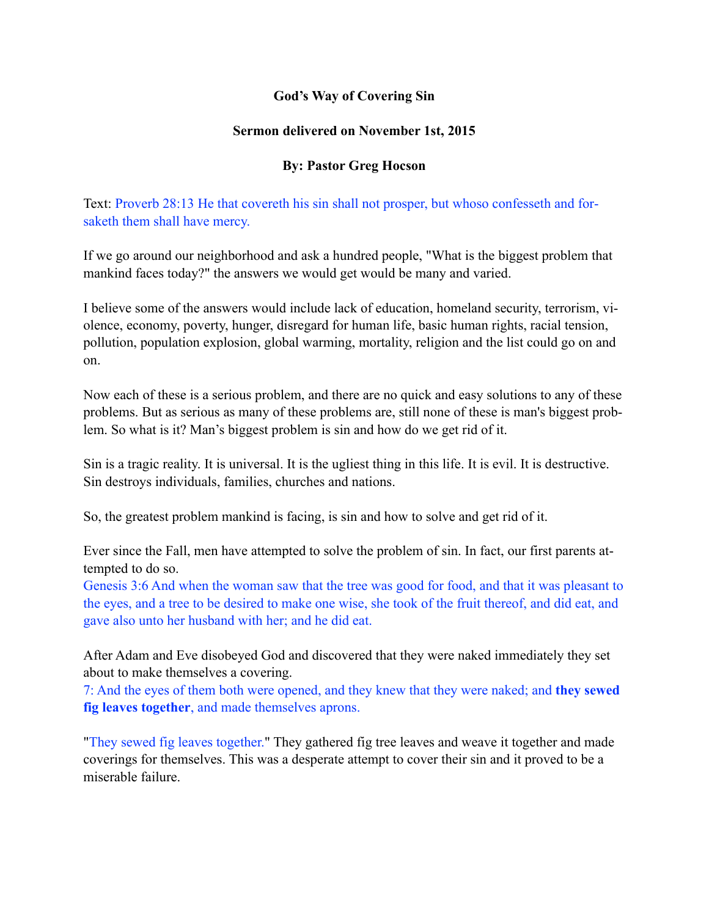# **God's Way of Covering Sin**

### **Sermon delivered on November 1st, 2015**

# **By: Pastor Greg Hocson**

Text: Proverb 28:13 He that covereth his sin shall not prosper, but whoso confesseth and forsaketh them shall have mercy.

If we go around our neighborhood and ask a hundred people, "What is the biggest problem that mankind faces today?" the answers we would get would be many and varied.

I believe some of the answers would include lack of education, homeland security, terrorism, violence, economy, poverty, hunger, disregard for human life, basic human rights, racial tension, pollution, population explosion, global warming, mortality, religion and the list could go on and on.

Now each of these is a serious problem, and there are no quick and easy solutions to any of these problems. But as serious as many of these problems are, still none of these is man's biggest problem. So what is it? Man's biggest problem is sin and how do we get rid of it.

Sin is a tragic reality. It is universal. It is the ugliest thing in this life. It is evil. It is destructive. Sin destroys individuals, families, churches and nations.

So, the greatest problem mankind is facing, is sin and how to solve and get rid of it.

Ever since the Fall, men have attempted to solve the problem of sin. In fact, our first parents attempted to do so.

Genesis 3:6 And when the woman saw that the tree was good for food, and that it was pleasant to the eyes, and a tree to be desired to make one wise, she took of the fruit thereof, and did eat, and gave also unto her husband with her; and he did eat.

After Adam and Eve disobeyed God and discovered that they were naked immediately they set about to make themselves a covering.

7: And the eyes of them both were opened, and they knew that they were naked; and **they sewed fig leaves together**, and made themselves aprons.

"They sewed fig leaves together." They gathered fig tree leaves and weave it together and made coverings for themselves. This was a desperate attempt to cover their sin and it proved to be a miserable failure.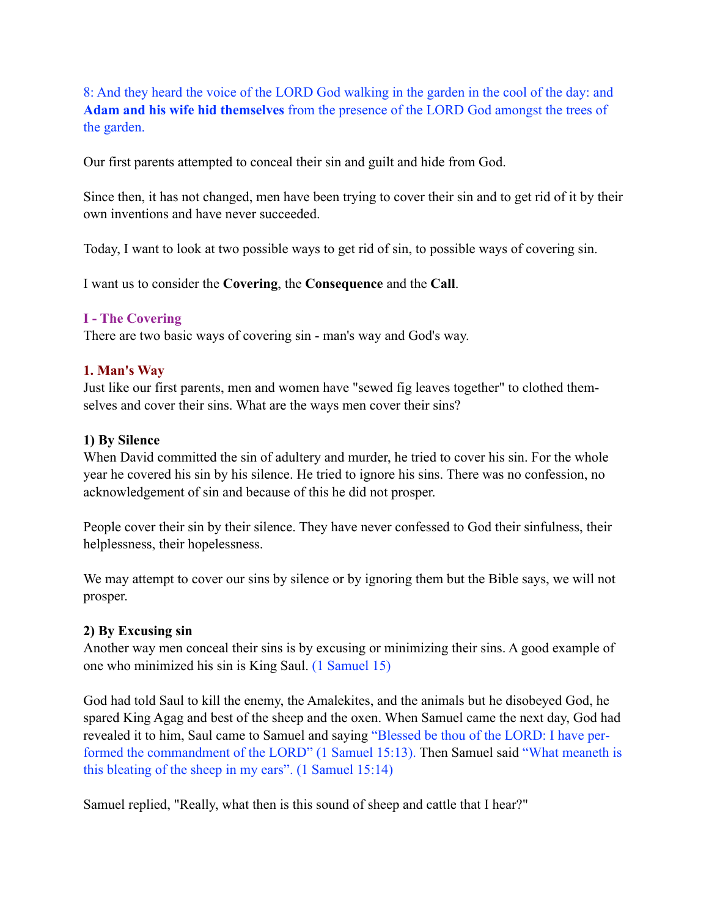8: And they heard the voice of the LORD God walking in the garden in the cool of the day: and **Adam and his wife hid themselves** from the presence of the LORD God amongst the trees of the garden.

Our first parents attempted to conceal their sin and guilt and hide from God.

Since then, it has not changed, men have been trying to cover their sin and to get rid of it by their own inventions and have never succeeded.

Today, I want to look at two possible ways to get rid of sin, to possible ways of covering sin.

I want us to consider the **Covering**, the **Consequence** and the **Call**.

### **I - The Covering**

There are two basic ways of covering sin - man's way and God's way.

### **1. Man's Way**

Just like our first parents, men and women have "sewed fig leaves together" to clothed themselves and cover their sins. What are the ways men cover their sins?

#### **1) By Silence**

When David committed the sin of adultery and murder, he tried to cover his sin. For the whole year he covered his sin by his silence. He tried to ignore his sins. There was no confession, no acknowledgement of sin and because of this he did not prosper.

People cover their sin by their silence. They have never confessed to God their sinfulness, their helplessness, their hopelessness.

We may attempt to cover our sins by silence or by ignoring them but the Bible says, we will not prosper.

# **2) By Excusing sin**

Another way men conceal their sins is by excusing or minimizing their sins. A good example of one who minimized his sin is King Saul. (1 Samuel 15)

God had told Saul to kill the enemy, the Amalekites, and the animals but he disobeyed God, he spared King Agag and best of the sheep and the oxen. When Samuel came the next day, God had revealed it to him, Saul came to Samuel and saying "Blessed be thou of the LORD: I have performed the commandment of the LORD" (1 Samuel 15:13). Then Samuel said "What meaneth is this bleating of the sheep in my ears". (1 Samuel 15:14)

Samuel replied, "Really, what then is this sound of sheep and cattle that I hear?"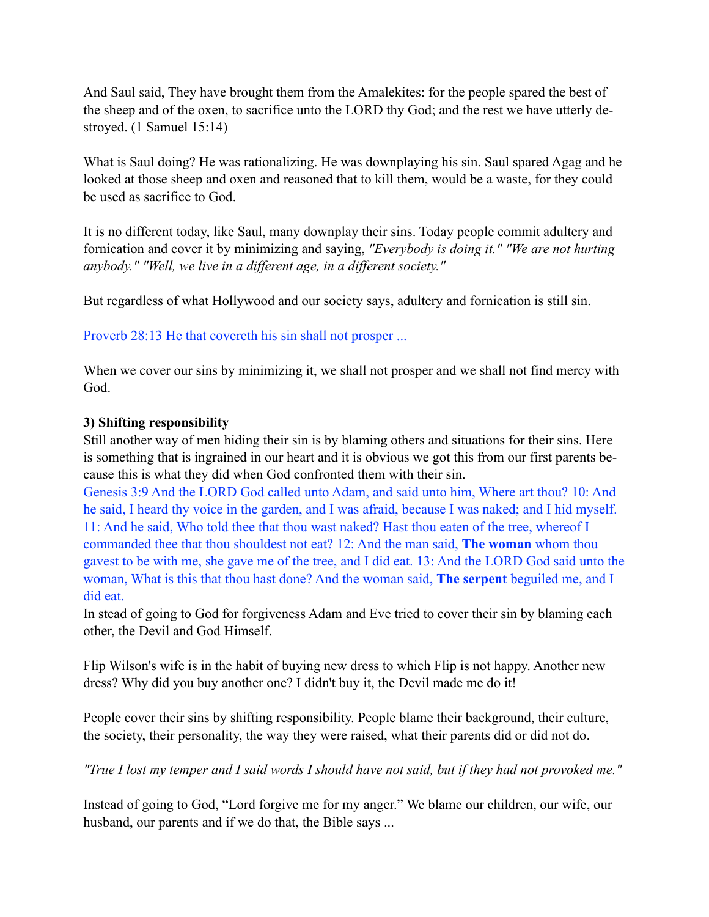And Saul said, They have brought them from the Amalekites: for the people spared the best of the sheep and of the oxen, to sacrifice unto the LORD thy God; and the rest we have utterly destroyed. (1 Samuel 15:14)

What is Saul doing? He was rationalizing. He was downplaying his sin. Saul spared Agag and he looked at those sheep and oxen and reasoned that to kill them, would be a waste, for they could be used as sacrifice to God.

It is no different today, like Saul, many downplay their sins. Today people commit adultery and fornication and cover it by minimizing and saying, *"Everybody is doing it." "We are not hurting anybody." "Well, we live in a different age, in a different society."*

But regardless of what Hollywood and our society says, adultery and fornication is still sin.

Proverb 28:13 He that covereth his sin shall not prosper ...

When we cover our sins by minimizing it, we shall not prosper and we shall not find mercy with God.

# **3) Shifting responsibility**

Still another way of men hiding their sin is by blaming others and situations for their sins. Here is something that is ingrained in our heart and it is obvious we got this from our first parents because this is what they did when God confronted them with their sin.

Genesis 3:9 And the LORD God called unto Adam, and said unto him, Where art thou? 10: And he said, I heard thy voice in the garden, and I was afraid, because I was naked; and I hid myself. 11: And he said, Who told thee that thou wast naked? Hast thou eaten of the tree, whereof I commanded thee that thou shouldest not eat? 12: And the man said, **The woman** whom thou gavest to be with me, she gave me of the tree, and I did eat. 13: And the LORD God said unto the woman, What is this that thou hast done? And the woman said, **The serpent** beguiled me, and I did eat.

In stead of going to God for forgiveness Adam and Eve tried to cover their sin by blaming each other, the Devil and God Himself.

Flip Wilson's wife is in the habit of buying new dress to which Flip is not happy. Another new dress? Why did you buy another one? I didn't buy it, the Devil made me do it!

People cover their sins by shifting responsibility. People blame their background, their culture, the society, their personality, the way they were raised, what their parents did or did not do.

*"True I lost my temper and I said words I should have not said, but if they had not provoked me."* 

Instead of going to God, "Lord forgive me for my anger." We blame our children, our wife, our husband, our parents and if we do that, the Bible says ...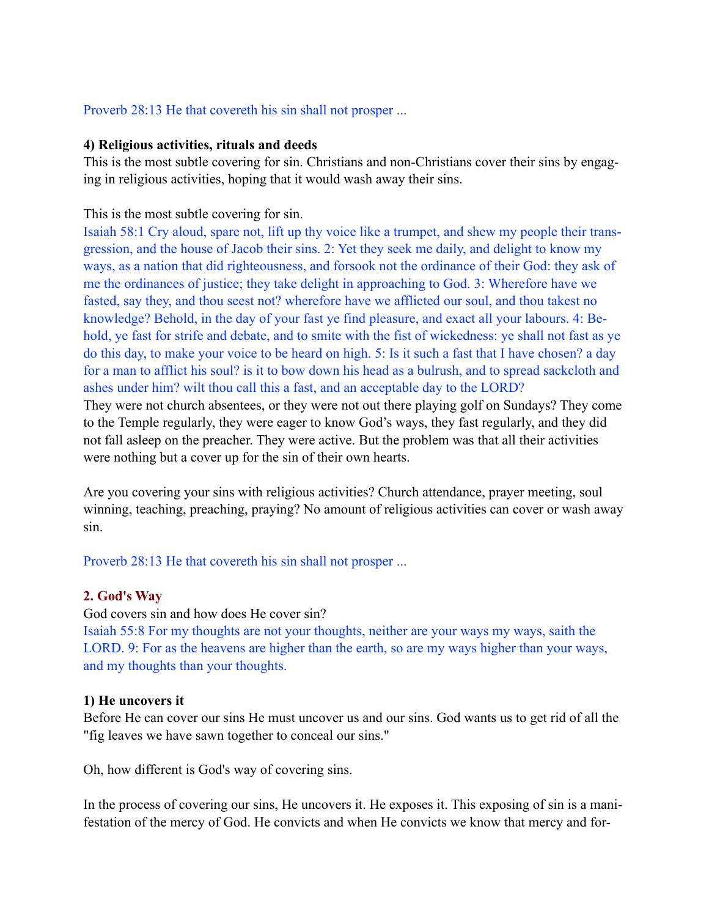### Proverb 28:13 He that covereth his sin shall not prosper ...

#### **4) Religious activities, rituals and deeds**

This is the most subtle covering for sin. Christians and non-Christians cover their sins by engaging in religious activities, hoping that it would wash away their sins.

### This is the most subtle covering for sin.

Isaiah 58:1 Cry aloud, spare not, lift up thy voice like a trumpet, and shew my people their transgression, and the house of Jacob their sins. 2: Yet they seek me daily, and delight to know my ways, as a nation that did righteousness, and forsook not the ordinance of their God: they ask of me the ordinances of justice; they take delight in approaching to God. 3: Wherefore have we fasted, say they, and thou seest not? wherefore have we afflicted our soul, and thou takest no knowledge? Behold, in the day of your fast ye find pleasure, and exact all your labours. 4: Behold, ye fast for strife and debate, and to smite with the fist of wickedness: ye shall not fast as ye do this day, to make your voice to be heard on high. 5: Is it such a fast that I have chosen? a day for a man to afflict his soul? is it to bow down his head as a bulrush, and to spread sackcloth and ashes under him? wilt thou call this a fast, and an acceptable day to the LORD?

They were not church absentees, or they were not out there playing golf on Sundays? They come to the Temple regularly, they were eager to know God's ways, they fast regularly, and they did not fall asleep on the preacher. They were active. But the problem was that all their activities were nothing but a cover up for the sin of their own hearts.

Are you covering your sins with religious activities? Church attendance, prayer meeting, soul winning, teaching, preaching, praying? No amount of religious activities can cover or wash away sin.

Proverb 28:13 He that covereth his sin shall not prosper ...

# **2. God's Way**

#### God covers sin and how does He cover sin?

Isaiah 55:8 For my thoughts are not your thoughts, neither are your ways my ways, saith the LORD. 9: For as the heavens are higher than the earth, so are my ways higher than your ways, and my thoughts than your thoughts.

#### **1) He uncovers it**

Before He can cover our sins He must uncover us and our sins. God wants us to get rid of all the "fig leaves we have sawn together to conceal our sins."

Oh, how different is God's way of covering sins.

In the process of covering our sins, He uncovers it. He exposes it. This exposing of sin is a manifestation of the mercy of God. He convicts and when He convicts we know that mercy and for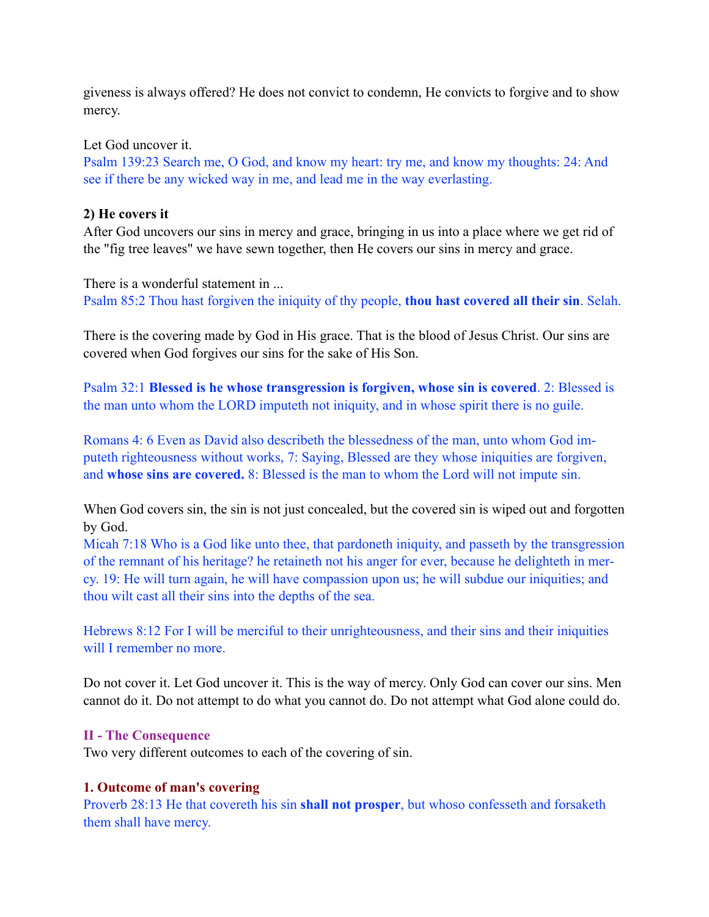giveness is always offered? He does not convict to condemn, He convicts to forgive and to show mercy.

Let God uncover it.

Psalm 139:23 Search me, O God, and know my heart: try me, and know my thoughts: 24: And see if there be any wicked way in me, and lead me in the way everlasting.

# **2) He covers it**

After God uncovers our sins in mercy and grace, bringing in us into a place where we get rid of the "fig tree leaves" we have sewn together, then He covers our sins in mercy and grace.

There is a wonderful statement in ... Psalm 85:2 Thou hast forgiven the iniquity of thy people, **thou hast covered all their sin**. Selah.

There is the covering made by God in His grace. That is the blood of Jesus Christ. Our sins are covered when God forgives our sins for the sake of His Son.

Psalm 32:1 **Blessed is he whose transgression is forgiven, whose sin is covered**. 2: Blessed is the man unto whom the LORD imputeth not iniquity, and in whose spirit there is no guile.

Romans 4: 6 Even as David also describeth the blessedness of the man, unto whom God imputeth righteousness without works, 7: Saying, Blessed are they whose iniquities are forgiven, and **whose sins are covered.** 8: Blessed is the man to whom the Lord will not impute sin.

When God covers sin, the sin is not just concealed, but the covered sin is wiped out and forgotten by God.

Micah 7:18 Who is a God like unto thee, that pardoneth iniquity, and passeth by the transgression of the remnant of his heritage? he retaineth not his anger for ever, because he delighteth in mercy. 19: He will turn again, he will have compassion upon us; he will subdue our iniquities; and thou wilt cast all their sins into the depths of the sea.

Hebrews 8:12 For I will be merciful to their unrighteousness, and their sins and their iniquities will I remember no more.

Do not cover it. Let God uncover it. This is the way of mercy. Only God can cover our sins. Men cannot do it. Do not attempt to do what you cannot do. Do not attempt what God alone could do.

# **II - The Consequence**

Two very different outcomes to each of the covering of sin.

# **1. Outcome of man's covering**

Proverb 28:13 He that covereth his sin **shall not prosper**, but whoso confesseth and forsaketh them shall have mercy.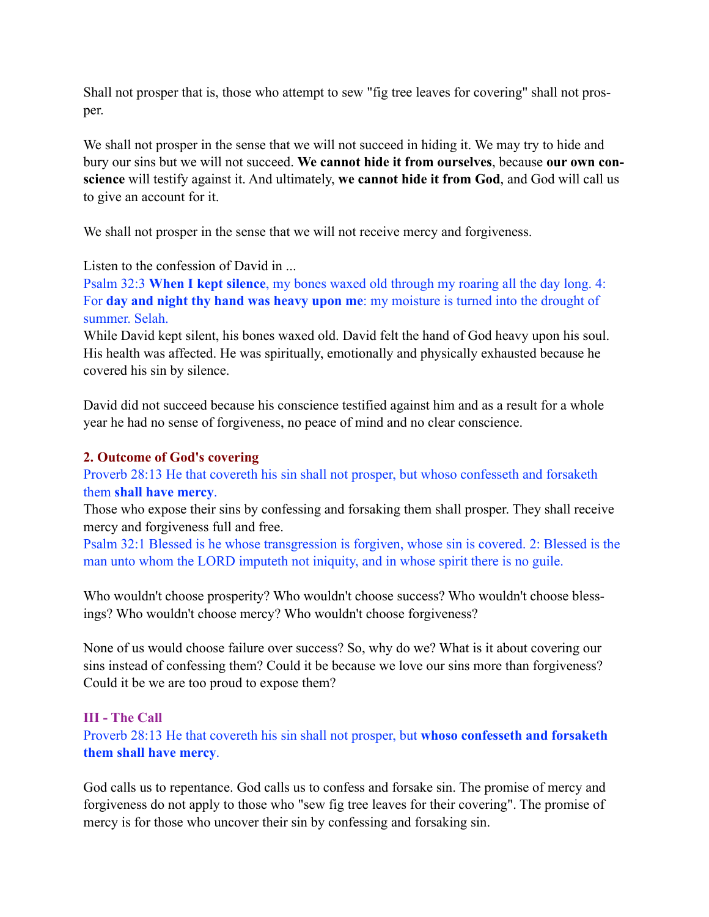Shall not prosper that is, those who attempt to sew "fig tree leaves for covering" shall not prosper.

We shall not prosper in the sense that we will not succeed in hiding it. We may try to hide and bury our sins but we will not succeed. **We cannot hide it from ourselves**, because **our own conscience** will testify against it. And ultimately, **we cannot hide it from God**, and God will call us to give an account for it.

We shall not prosper in the sense that we will not receive mercy and forgiveness.

Listen to the confession of David in ...

Psalm 32:3 **When I kept silence**, my bones waxed old through my roaring all the day long. 4: For **day and night thy hand was heavy upon me**: my moisture is turned into the drought of summer. Selah.

While David kept silent, his bones waxed old. David felt the hand of God heavy upon his soul. His health was affected. He was spiritually, emotionally and physically exhausted because he covered his sin by silence.

David did not succeed because his conscience testified against him and as a result for a whole year he had no sense of forgiveness, no peace of mind and no clear conscience.

### **2. Outcome of God's covering**

Proverb 28:13 He that covereth his sin shall not prosper, but whoso confesseth and forsaketh them **shall have mercy**.

Those who expose their sins by confessing and forsaking them shall prosper. They shall receive mercy and forgiveness full and free.

Psalm 32:1 Blessed is he whose transgression is forgiven, whose sin is covered. 2: Blessed is the man unto whom the LORD imputeth not iniquity, and in whose spirit there is no guile.

Who wouldn't choose prosperity? Who wouldn't choose success? Who wouldn't choose blessings? Who wouldn't choose mercy? Who wouldn't choose forgiveness?

None of us would choose failure over success? So, why do we? What is it about covering our sins instead of confessing them? Could it be because we love our sins more than forgiveness? Could it be we are too proud to expose them?

# **III - The Call**

Proverb 28:13 He that covereth his sin shall not prosper, but **whoso confesseth and forsaketh them shall have mercy**.

God calls us to repentance. God calls us to confess and forsake sin. The promise of mercy and forgiveness do not apply to those who "sew fig tree leaves for their covering". The promise of mercy is for those who uncover their sin by confessing and forsaking sin.